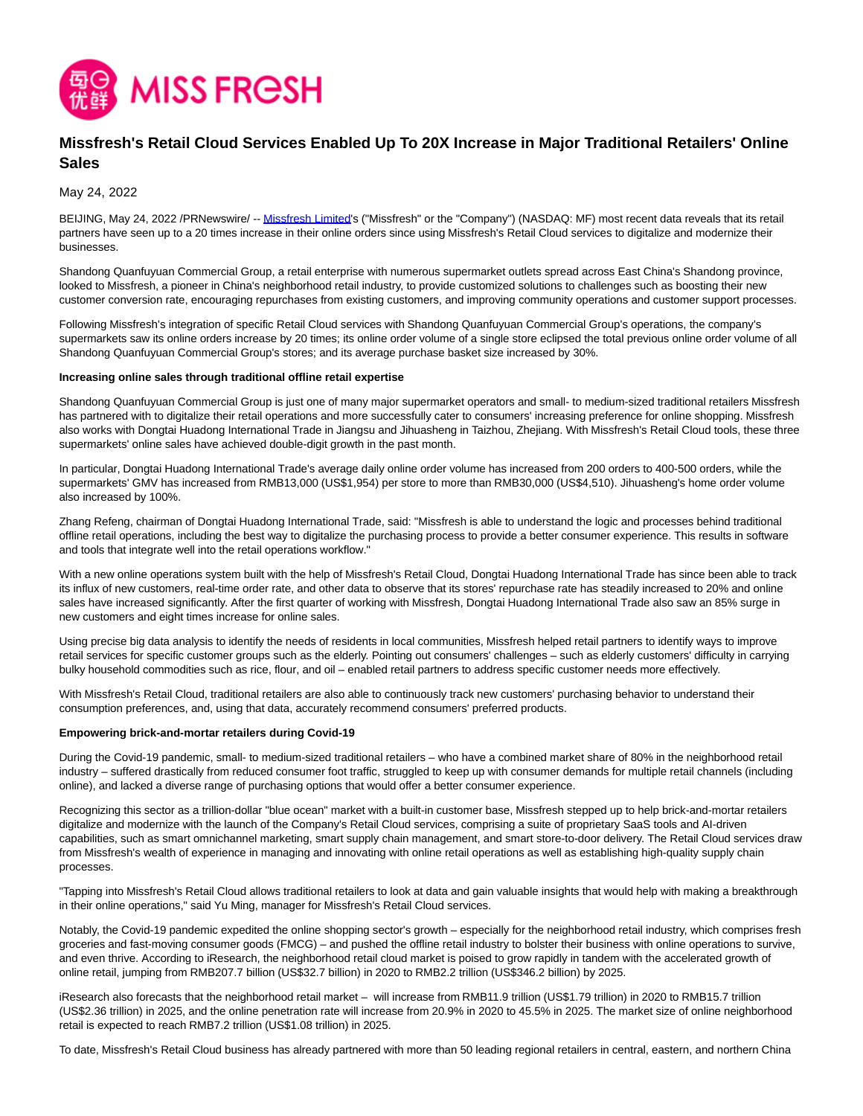

# **Missfresh's Retail Cloud Services Enabled Up To 20X Increase in Major Traditional Retailers' Online Sales**

May 24, 2022

BEIJING, May 24, 2022 /PRNewswire/ -- [Missfresh Limited's](https://ir.missfresh.cn/) ("Missfresh" or the "Company") (NASDAQ: MF) most recent data reveals that its retail partners have seen up to a 20 times increase in their online orders since using Missfresh's Retail Cloud services to digitalize and modernize their businesses.

Shandong Quanfuyuan Commercial Group, a retail enterprise with numerous supermarket outlets spread across East China's Shandong province, looked to Missfresh, a pioneer in China's neighborhood retail industry, to provide customized solutions to challenges such as boosting their new customer conversion rate, encouraging repurchases from existing customers, and improving community operations and customer support processes.

Following Missfresh's integration of specific Retail Cloud services with Shandong Quanfuyuan Commercial Group's operations, the company's supermarkets saw its online orders increase by 20 times; its online order volume of a single store eclipsed the total previous online order volume of all Shandong Quanfuyuan Commercial Group's stores; and its average purchase basket size increased by 30%.

#### **Increasing online sales through traditional offline retail expertise**

Shandong Quanfuyuan Commercial Group is just one of many major supermarket operators and small- to medium-sized traditional retailers Missfresh has partnered with to digitalize their retail operations and more successfully cater to consumers' increasing preference for online shopping. Missfresh also works with Dongtai Huadong International Trade in Jiangsu and Jihuasheng in Taizhou, Zhejiang. With Missfresh's Retail Cloud tools, these three supermarkets' online sales have achieved double-digit growth in the past month.

In particular, Dongtai Huadong International Trade's average daily online order volume has increased from 200 orders to 400-500 orders, while the supermarkets' GMV has increased from RMB13,000 (US\$1,954) per store to more than RMB30,000 (US\$4,510). Jihuasheng's home order volume also increased by 100%.

Zhang Refeng, chairman of Dongtai Huadong International Trade, said: "Missfresh is able to understand the logic and processes behind traditional offline retail operations, including the best way to digitalize the purchasing process to provide a better consumer experience. This results in software and tools that integrate well into the retail operations workflow."

With a new online operations system built with the help of Missfresh's Retail Cloud, Dongtai Huadong International Trade has since been able to track its influx of new customers, real-time order rate, and other data to observe that its stores' repurchase rate has steadily increased to 20% and online sales have increased significantly. After the first quarter of working with Missfresh, Dongtai Huadong International Trade also saw an 85% surge in new customers and eight times increase for online sales.

Using precise big data analysis to identify the needs of residents in local communities, Missfresh helped retail partners to identify ways to improve retail services for specific customer groups such as the elderly. Pointing out consumers' challenges – such as elderly customers' difficulty in carrying bulky household commodities such as rice, flour, and oil – enabled retail partners to address specific customer needs more effectively.

With Missfresh's Retail Cloud, traditional retailers are also able to continuously track new customers' purchasing behavior to understand their consumption preferences, and, using that data, accurately recommend consumers' preferred products.

#### **Empowering brick-and-mortar retailers during Covid-19**

During the Covid-19 pandemic, small- to medium-sized traditional retailers – who have a combined market share of 80% in the neighborhood retail industry – suffered drastically from reduced consumer foot traffic, struggled to keep up with consumer demands for multiple retail channels (including online), and lacked a diverse range of purchasing options that would offer a better consumer experience.

Recognizing this sector as a trillion-dollar "blue ocean" market with a built-in customer base, Missfresh stepped up to help brick-and-mortar retailers digitalize and modernize with the launch of the Company's Retail Cloud services, comprising a suite of proprietary SaaS tools and AI-driven capabilities, such as smart omnichannel marketing, smart supply chain management, and smart store-to-door delivery. The Retail Cloud services draw from Missfresh's wealth of experience in managing and innovating with online retail operations as well as establishing high-quality supply chain processes.

"Tapping into Missfresh's Retail Cloud allows traditional retailers to look at data and gain valuable insights that would help with making a breakthrough in their online operations," said Yu Ming, manager for Missfresh's Retail Cloud services.

Notably, the Covid-19 pandemic expedited the online shopping sector's growth – especially for the neighborhood retail industry, which comprises fresh groceries and fast-moving consumer goods (FMCG) – and pushed the offline retail industry to bolster their business with online operations to survive, and even thrive. According to iResearch, the neighborhood retail cloud market is poised to grow rapidly in tandem with the accelerated growth of online retail, jumping from RMB207.7 billion (US\$32.7 billion) in 2020 to RMB2.2 trillion (US\$346.2 billion) by 2025.

iResearch also forecasts that the neighborhood retail market – will increase from RMB11.9 trillion (US\$1.79 trillion) in 2020 to RMB15.7 trillion (US\$2.36 trillion) in 2025, and the online penetration rate will increase from 20.9% in 2020 to 45.5% in 2025. The market size of online neighborhood retail is expected to reach RMB7.2 trillion (US\$1.08 trillion) in 2025.

To date, Missfresh's Retail Cloud business has already partnered with more than 50 leading regional retailers in central, eastern, and northern China